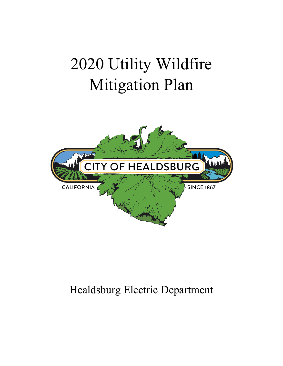# 2020 Utility Wildfire Mitigation Plan



# Healdsburg Electric Department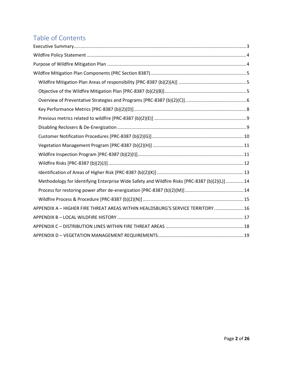# Table of Contents

| Methodology for Identifying Enterprise Wide Safety and Wildfire Risks [PRC-8387 (b)(2)(L)] 14 |  |
|-----------------------------------------------------------------------------------------------|--|
|                                                                                               |  |
|                                                                                               |  |
| APPENDIX A - HIGHER FIRE THREAT AREAS WITHIN HEALDSBURG'S SERVICE TERRITORY  16               |  |
|                                                                                               |  |
|                                                                                               |  |
|                                                                                               |  |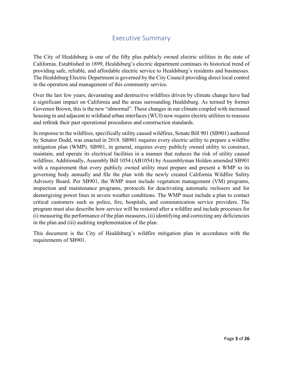# Executive Summary

<span id="page-2-0"></span>The City of Healdsburg is one of the fifty plus publicly owned electric utilities in the state of California. Established in 1899, Healdsburg's electric department continues its historical trend of providing safe, reliable, and affordable electric service to Healdsburg's residents and businesses. The Healdsburg Electric Department is governed by the City Council providing direct local control in the operation and management of this community service.

Over the last few years, devastating and destructive wildfires driven by climate change have had a significant impact on California and the areas surrounding Healdsburg. As termed by former Governor Brown, this is the new "abnormal". These changes in our climate coupled with increased housing in and adjacent to wildland urban interfaces (WUI) now require electric utilities to reassess and rethink their past operational procedures and construction standards.

In response to the wildfires, specifically utility caused wildfires, Senate Bill 901 (SB901) authored by Senator Dodd, was enacted in 2018. SB901 requires every electric utility to prepare a wildfire mitigation plan (WMP). SB901, in general, requires every publicly owned utility to construct, maintain, and operate its electrical facilities in a manner that reduces the risk of utility caused wildfires. Additionally, Assembly Bill 1054 (AB1054) by Assemblyman Holden amended SB901 with a requirement that every publicly owned utility must prepare and present a WMP to its governing body annually and file the plan with the newly created California Wildfire Safety Advisory Board. Per SB901, the WMP must include vegetation management (VM) programs, inspection and maintenance programs, protocols for deactivating automatic reclosers and for deenergizing power lines in severe weather conditions. The WMP must include a plan to contact critical customers such as police, fire, hospitals, and communication service providers. The program must also describe how service will be restored after a wildfire and include processes for (i) measuring the performance of the plan measures, (ii) identifying and correcting any deficiencies in the plan and (iii) auditing implementation of the plan.

This document is the City of Healdsburg's wildfire mitigation plan in accordance with the requirements of SB901.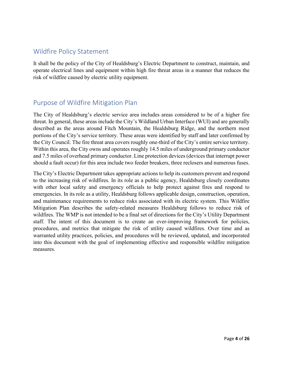# <span id="page-3-0"></span>Wildfire Policy Statement

It shall be the policy of the City of Healdsburg's Electric Department to construct, maintain, and operate electrical lines and equipment within high fire threat areas in a manner that reduces the risk of wildfire caused by electric utility equipment.

# <span id="page-3-1"></span>Purpose of Wildfire Mitigation Plan

The City of Healdsburg's electric service area includes areas considered to be of a higher fire threat. In general, these areas include the City's Wildland Urban Interface (WUI) and are generally described as the areas around Fitch Mountain, the Healdsburg Ridge, and the northern most portions of the City's service territory. These areas were identified by staff and later confirmed by the City Council. The fire threat area covers roughly one-third of the City's entire service territory. Within this area, the City owns and operates roughly 14.5 miles of underground primary conductor and 7.5 miles of overhead primary conductor. Line protection devices (devices that interrupt power should a fault occur) for this area include two feeder breakers, three reclosers and numerous fuses.

The City's Electric Department takes appropriate actions to help its customers prevent and respond to the increasing risk of wildfires. In its role as a public agency, Healdsburg closely coordinates with other local safety and emergency officials to help protect against fires and respond to emergencies. In its role as a utility, Healdsburg follows applicable design, construction, operation, and maintenance requirements to reduce risks associated with its electric system. This Wildfire Mitigation Plan describes the safety-related measures Healdsburg follows to reduce risk of wildfires. The WMP is not intended to be a final set of directions for the City's Utility Department staff. The intent of this document is to create an ever-improving framework for policies, procedures, and metrics that mitigate the risk of utility caused wildfires. Over time and as warranted utility practices, policies, and procedures will be reviewed, updated, and incorporated into this document with the goal of implementing effective and responsible wildfire mitigation measures.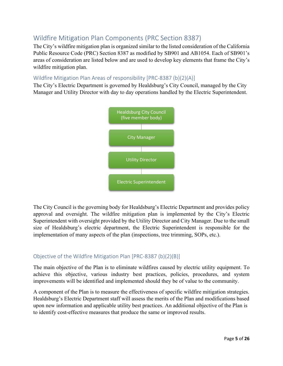# <span id="page-4-0"></span>Wildfire Mitigation Plan Components (PRC Section 8387)

The City's wildfire mitigation plan is organized similar to the listed consideration of the California Public Resource Code (PRC) Section 8387 as modified by SB901 and AB1054. Each of SB901's areas of consideration are listed below and are used to develop key elements that frame the City's wildfire mitigation plan.

### <span id="page-4-1"></span>Wildfire Mitigation Plan Areas of responsibility [PRC-8387 (b)(2)(A)]

The City's Electric Department is governed by Healdsburg's City Council, managed by the City Manager and Utility Director with day to day operations handled by the Electric Superintendent.



The City Council is the governing body for Healdsburg's Electric Department and provides policy approval and oversight. The wildfire mitigation plan is implemented by the City's Electric Superintendent with oversight provided by the Utility Director and City Manager. Due to the small size of Healdsburg's electric department, the Electric Superintendent is responsible for the implementation of many aspects of the plan (inspections, tree trimming, SOPs, etc.).

### <span id="page-4-2"></span>Objective of the Wildfire Mitigation Plan [PRC-8387 (b)(2)(B)]

The main objective of the Plan is to eliminate wildfires caused by electric utility equipment. To achieve this objective, various industry best practices, policies, procedures, and system improvements will be identified and implemented should they be of value to the community.

A component of the Plan is to measure the effectiveness of specific wildfire mitigation strategies. Healdsburg's Electric Department staff will assess the merits of the Plan and modifications based upon new information and applicable utility best practices. An additional objective of the Plan is to identify cost-effective measures that produce the same or improved results.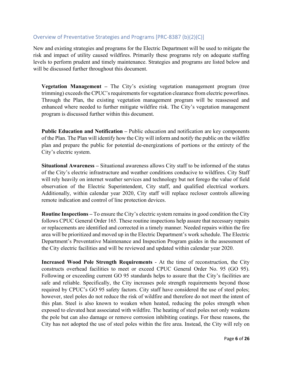### <span id="page-5-0"></span>Overview of Preventative Strategies and Programs [PRC-8387 (b)(2)(C)]

New and existing strategies and programs for the Electric Department will be used to mitigate the risk and impact of utility caused wildfires. Primarily these programs rely on adequate staffing levels to perform prudent and timely maintenance. Strategies and programs are listed below and will be discussed further throughout this document.

**Vegetation Management –** The City's existing vegetation management program (tree trimming) exceeds the CPUC's requirements for vegetation clearance from electric powerlines. Through the Plan, the existing vegetation management program will be reassessed and enhanced where needed to further mitigate wildfire risk. The City's vegetation management program is discussed further within this document.

**Public Education and Notification –** Public education and notification are key components of the Plan. The Plan will identify how the City will inform and notify the public on the wildfire plan and prepare the public for potential de-energizations of portions or the entirety of the City's electric system.

**Situational Awareness –** Situational awareness allows City staff to be informed of the status of the City's electric infrastructure and weather conditions conducive to wildfires. City Staff will rely heavily on internet weather services and technology but not forego the value of field observation of the Electric Superintendent, City staff, and qualified electrical workers. Additionally, within calendar year 2020, City staff will replace recloser controls allowing remote indication and control of line protection devices.

**Routine Inspections –** To ensure the City's electric system remains in good condition the City follows CPUC General Order 165. These routine inspections help assure that necessary repairs or replacements are identified and corrected in a timely manner. Needed repairs within the fire area will be prioritized and moved up in the Electric Department's work schedule. The Electric Department's Preventative Maintenance and Inspection Program guides in the assessment of the City electric facilities and will be reviewed and updated within calendar year 2020.

**Increased Wood Pole Strength Requirements** - At the time of reconstruction, the City constructs overhead facilities to meet or exceed CPUC General Order No. 95 (GO 95). Following or exceeding current GO 95 standards helps to assure that the City's facilities are safe and reliable. Specifically, the City increases pole strength requirements beyond those required by CPUC's GO 95 safety factors. City staff have considered the use of steel poles; however, steel poles do not reduce the risk of wildfire and therefore do not meet the intent of this plan. Steel is also known to weaken when heated, reducing the poles strength when exposed to elevated heat associated with wildfire. The heating of steel poles not only weakens the pole but can also damage or remove corrosion inhibiting coatings. For these reasons, the City has not adopted the use of steel poles within the fire area. Instead, the City will rely on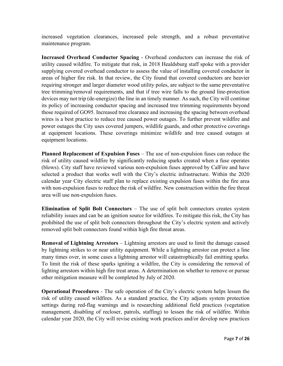increased vegetation clearances, increased pole strength, and a robust preventative maintenance program.

**Increased Overhead Conductor Spacing** - Overhead conductors can increase the risk of utility caused wildfire. To mitigate that risk, in 2018 Healdsburg staff spoke with a provider supplying covered overhead conductor to assess the value of installing covered conductor in areas of higher fire risk. In that review, the City found that covered conductors are heavier requiring stronger and larger diameter wood utility poles, are subject to the same preventative tree trimming/removal requirements, and that if tree wire falls to the ground line-protection devices may not trip (de-energize) the line in an timely manner. As such, the City will continue its policy of increasing conductor spacing and increased tree trimming requirements beyond those required of GO95. Increased tree clearance and increasing the spacing between overhead wires is a best practice to reduce tree caused power outages. To further prevent wildfire and power outages the City uses covered jumpers, wildlife guards, and other protective coverings at equipment locations. These coverings minimize wildlife and tree caused outages at equipment locations.

**Planned Replacement of Expulsion Fuses** – The use of non-expulsion fuses can reduce the risk of utility caused wildfire by significantly reducing sparks created when a fuse operates (blows). City staff have reviewed various non-expulsion fuses approved by CalFire and have selected a product that works well with the City's electric infrastructure. Within the 2020 calendar year City electric staff plan to replace existing expulsion fuses within the fire area with non-expulsion fuses to reduce the risk of wildfire. New construction within the fire threat area will use non-expulsion fuses.

**Elimination of Split Bolt Connectors** – The use of split bolt connectors creates system reliability issues and can be an ignition source for wildfires. To mitigate this risk, the City has prohibited the use of split bolt connectors throughout the City's electric system and actively removed split bolt connectors found within high fire threat areas.

**Removal of Lightning Arrestors** – Lightning arrestors are used to limit the damage caused by lightning strikes to or near utility equipment. While a lightning arrestor can protect a line many times over, in some cases a lightning arrestor will catastrophically fail emitting sparks. To limit the risk of these sparks igniting a wildfire, the City is considering the removal of lighting arrestors within high fire treat areas. A determination on whether to remove or pursue other mitigation measure will be completed by July of 2020.

**Operational Procedures** - The safe operation of the City's electric system helps lessen the risk of utility caused wildfires. As a standard practice, the City adjusts system protection settings during red-flag warnings and is researching additional field practices (vegetation management, disabling of recloser, patrols, staffing) to lessen the risk of wildfire. Within calendar year 2020, the City will revise existing work practices and/or develop new practices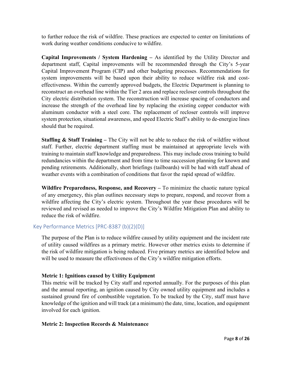to further reduce the risk of wildfire. These practices are expected to center on limitations of work during weather conditions conducive to wildfire.

**Capital Improvements / System Hardening –** As identified by the Utility Director and department staff, Capital improvements will be recommended through the City's 5-year Capital Improvement Program (CIP) and other budgeting processes. Recommendations for system improvements will be based upon their ability to reduce wildfire risk and costeffectiveness. Within the currently approved budgets, the Electric Department is planning to reconstruct an overhead line within the Tier 2 area and replace recloser controls throughout the City electric distribution system. The reconstruction will increase spacing of conductors and increase the strength of the overhead line by replacing the existing copper conductor with aluminum conductor with a steel core. The replacement of recloser controls will improve system protection, situational awareness, and speed Electric Staff's ability to de-energize lines should that be required.

**Staffing & Staff Training –** The City will not be able to reduce the risk of wildfire without staff. Further, electric department staffing must be maintained at appropriate levels with training to maintain staff knowledge and preparedness. This may include cross training to build redundancies within the department and from time to time succession planning for known and pending retirements. Additionally, short briefings (tailboards) will be had with staff ahead of weather events with a combination of conditions that favor the rapid spread of wildfire.

**Wildfire Preparedness, Response, and Recovery –** To minimize the chaotic nature typical of any emergency, this plan outlines necessary steps to prepare, respond, and recover from a wildfire affecting the City's electric system. Throughout the year these procedures will be reviewed and revised as needed to improve the City's Wildfire Mitigation Plan and ability to reduce the risk of wildfire.

### <span id="page-7-0"></span>Key Performance Metrics [PRC-8387 (b)(2)(D)]

The purpose of the Plan is to reduce wildfire caused by utility equipment and the incident rate of utility caused wildfires as a primary metric. However other metrics exists to determine if the risk of wildfire mitigation is being reduced. Five primary metrics are identified below and will be used to measure the effectiveness of the City's wildfire mitigation efforts.

### **Metric 1: Ignitions caused by Utility Equipment**

This metric will be tracked by City staff and reported annually. For the purposes of this plan and the annual reporting, an ignition caused by City owned utility equipment and includes a sustained ground fire of combustible vegetation. To be tracked by the City, staff must have knowledge of the ignition and will track (at a minimum) the date, time, location, and equipment involved for each ignition.

### **Metric 2: Inspection Records & Maintenance**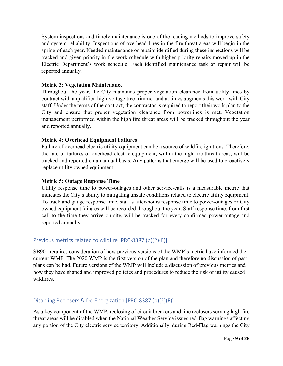System inspections and timely maintenance is one of the leading methods to improve safety and system reliability. Inspections of overhead lines in the fire threat areas will begin in the spring of each year. Needed maintenance or repairs identified during these inspections will be tracked and given priority in the work schedule with higher priority repairs moved up in the Electric Department's work schedule. Each identified maintenance task or repair will be reported annually.

### **Metric 3: Vegetation Maintenance**

Throughout the year, the City maintains proper vegetation clearance from utility lines by contract with a qualified high-voltage tree trimmer and at times augments this work with City staff. Under the terms of the contract, the contractor is required to report their work plan to the City and ensure that proper vegetation clearance from powerlines is met. Vegetation management performed within the high fire threat areas will be tracked throughout the year and reported annually.

### **Metric 4: Overhead Equipment Failures**

Failure of overhead electric utility equipment can be a source of wildfire ignitions. Therefore, the rate of failures of overhead electric equipment, within the high fire threat areas, will be tracked and reported on an annual basis. Any patterns that emerge will be used to proactively replace utility owned equipment.

### **Metric 5: Outage Response Time**

Utility response time to power-outages and other service-calls is a measurable metric that indicates the City's ability to mitigating unsafe conditions related to electric utility equipment. To track and gauge response time, staff's after-hours response time to power-outages or City owned equipment failures will be recorded throughout the year. Staff response time, from first call to the time they arrive on site, will be tracked for every confirmed power-outage and reported annually.

### <span id="page-8-0"></span>Previous metrics related to wildfire [PRC-8387 (b)(2)(E)]

SB901 requires consideration of how previous versions of the WMP's metric have informed the current WMP. The 2020 WMP is the first version of the plan and therefore no discussion of past plans can be had. Future versions of the WMP will include a discussion of previous metrics and how they have shaped and improved policies and procedures to reduce the risk of utility caused wildfires.

### <span id="page-8-1"></span>Disabling Reclosers & De-Energization [PRC-8387 (b)(2)(F)]

As a key component of the WMP, reclosing of circuit breakers and line reclosers serving high fire threat areas will be disabled when the National Weather Service issues red-flag warnings affecting any portion of the City electric service territory. Additionally, during Red-Flag warnings the City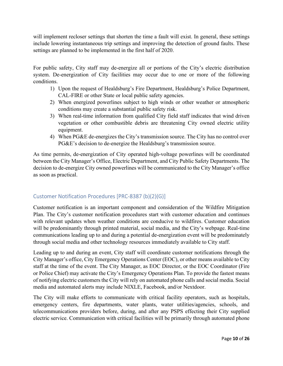will implement recloser settings that shorten the time a fault will exist. In general, these settings include lowering instantaneous trip settings and improving the detection of ground faults. These settings are planned to be implemented in the first half of 2020.

For public safety, City staff may de-energize all or portions of the City's electric distribution system. De-energization of City facilities may occur due to one or more of the following conditions.

- 1) Upon the request of Healdsburg's Fire Department, Healdsburg's Police Department, CAL-FIRE or other State or local public safety agencies.
- 2) When energized powerlines subject to high winds or other weather or atmospheric conditions may create a substantial public safety risk.
- 3) When real-time information from qualified City field staff indicates that wind driven vegetation or other combustible debris are threatening City owned electric utility equipment.
- 4) When PG&E de-energizes the City's transmission source. The City has no control over PG&E's decision to de-energize the Healdsburg's transmission source.

As time permits, de-energization of City operated high-voltage powerlines will be coordinated between the City Manager's Office, Electric Department, and City Public Safety Departments. The decision to de-energize City owned powerlines will be communicated to the City Manager's office as soon as practical.

### <span id="page-9-0"></span>Customer Notification Procedures [PRC-8387 (b)(2)(G)]

Customer notification is an important component and consideration of the Wildfire Mitigation Plan. The City's customer notification procedures start with customer education and continues with relevant updates when weather conditions are conducive to wildfires. Customer education will be predominantly through printed material, social media, and the City's webpage. Real-time communications leading up to and during a potential de-energization event will be predominately through social media and other technology resources immediately available to City staff.

Leading up to and during an event, City staff will coordinate customer notifications through the City Manager's office, City Emergency Operations Center (EOC), or other means available to City staff at the time of the event. The City Manager, as EOC Director, or the EOC Coordinator (Fire or Police Chief) may activate the City's Emergency Operations Plan. To provide the fastest means of notifying electric customers the City will rely on automated phone calls and social media. Social media and automated alerts may include NIXLE, Facebook, and/or Nextdoor.

The City will make efforts to communicate with critical facility operators, such as hospitals, emergency centers, fire departments, water plants, water utilities/agencies, schools, and telecommunications providers before, during, and after any PSPS effecting their City supplied electric service. Communication with critical facilities will be primarily through automated phone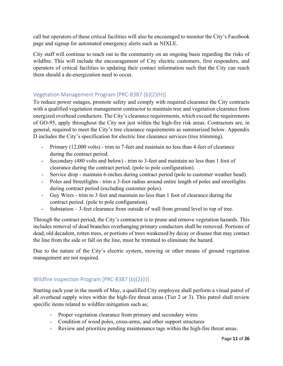call but operators of these critical facilities will also be encouraged to monitor the City's Facebook page and signup for automated emergency alerts such as NIXLE.

City staff will continue to reach out to the community on an ongoing basis regarding the risks of wildfire. This will include the encouragement of City electric customers, first responders, and operators of critical facilities to updating their contact information such that the City can reach them should a de-energization need to occur.

### <span id="page-10-0"></span>Vegetation Management Program [PRC-8387 (b)(2)(H)]

To reduce power outages, promote safety and comply with required clearance the City contracts with a qualified vegetation management contractor to maintain tree and vegetation clearance from energized overhead conductors. The City's clearance requirements, which exceed the requirements of GO-95, apply throughout the City not just within the high-fire risk areas. Contractors are, in general, required to meet the City's tree clearance requirements as summarized below. Appendix D includes the City's specification for electric line clearance services (tree trimming).

- Primary (12,000 volts) trim to 7-feet and maintain no less than 4-feet of clearance during the contract period.
- Secondary (480 volts and below) trim to 3-feet and maintain no less than 1 foot of clearance during the contract period. (pole to pole configuration).
- Service drop maintain 6-inches during contract period (pole to customer weather head).
- Poles and Streetlights trim a 3-foot radius around entire length of poles and streetlights during contract period (excluding customer poles).
- Guy Wires trim to 3 feet and maintain no less than 1 foot of clearance during the contract period. (pole to pole configuration).
- Substation 3-feet clearance from outside of wall from ground level to top of tree.

Through the contract period, the City's contractor is to prune and remove vegetation hazards. This includes removal of dead branches overhanging primary conductors shall be removed. Portions of dead, old decadent, rotten trees, or portions of trees weakened by decay or disease that may contact the line from the side or fall on the line, must be trimmed to eliminate the hazard.

Due to the nature of the City's electric system, mowing or other means of ground vegetation management are not required.

### <span id="page-10-1"></span>Wildfire Inspection Program [PRC-8387 (b)(2)(I)]

Starting each year in the month of May, a qualified City employee shall perform a visual patrol of all overhead supply wires within the high-fire threat areas (Tier 2 or 3). This patrol shall review specific items related to wildfire mitigation such as;

- Proper vegetation clearance from primary and secondary wires
- Condition of wood poles, cross-arms, and other support structures
- Review and prioritize pending maintenance tags within the high-fire threat areas.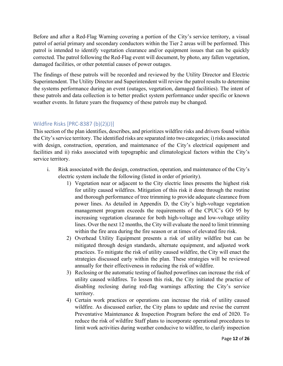Before and after a Red-Flag Warning covering a portion of the City's service territory, a visual patrol of aerial primary and secondary conductors within the Tier 2 areas will be performed. This patrol is intended to identify vegetation clearance and/or equipment issues that can be quickly corrected. The patrol following the Red-Flag event will document, by photo, any fallen vegetation, damaged facilities, or other potential causes of power outages.

The findings of these patrols will be recorded and reviewed by the Utility Director and Electric Superintendent. The Utility Director and Superintendent will review the patrol results to determine the systems performance during an event (outages, vegetation, damaged facilities). The intent of these patrols and data collection is to better predict system performance under specific or known weather events. In future years the frequency of these patrols may be changed.

### <span id="page-11-0"></span>Wildfire Risks [PRC-8387 (b)(2)(J)]

This section of the plan identifies, describes, and prioritizes wildfire risks and drivers found within the City's service territory. The identified risks are separated into two categories; i) risks associated with design, construction, operation, and maintenance of the City's electrical equipment and facilities and ii) risks associated with topographic and climatological factors within the City's service territory.

- i. Risk associated with the design, construction, operation, and maintenance of the City's electric system include the following (listed in order of priority).
	- 1) Vegetation near or adjacent to the City electric lines presents the highest risk for utility caused wildfires. Mitigation of this risk it done through the routine and thorough performance of tree trimming to provide adequate clearance from power lines. As detailed in Appendix D, the City's high-voltage vegetation management program exceeds the requirements of the CPUC's GO 95 by increasing vegetation clearance for both high-voltage and low-voltage utility lines. Over the next 12 months, the City will evaluate the need to limit trimming within the fire area during the fire season or at times of elevated fire risk.
	- 2) Overhead Utility Equipment presents a risk of utility wildfire but can be mitigated through design standards, alternate equipment, and adjusted work practices. To mitigate the risk of utility caused wildfire, the City will enact the strategies discussed early within the plan. These strategies will be reviewed annually for their effectiveness in reducing the risk of wildfire.
	- 3) Reclosing or the automatic testing of faulted powerlines can increase the risk of utility caused wildfires. To lessen this risk, the City initiated the practice of disabling reclosing during red-flag warnings affecting the City's service territory.
	- 4) Certain work practices or operations can increase the risk of utility caused wildfire. As discussed earlier, the City plans to update and revise the current Preventative Maintenance & Inspection Program before the end of 2020. To reduce the risk of wildfire Staff plans to incorporate operational procedures to limit work activities during weather conducive to wildfire, to clarify inspection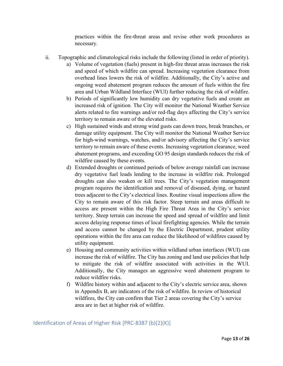practices within the fire-threat areas and revise other work procedures as necessary.

- ii. Topographic and climatological risks include the following (listed in order of priority).
	- a) Volume of vegetation (fuels) present in high-fire threat areas increases the risk and speed of which wildfire can spread. Increasing vegetation clearance from overhead lines lowers the risk of wildfire. Additionally, the City's active and ongoing weed abatement program reduces the amount of fuels within the fire area and Urban Wildland Interface (WUI) further reducing the risk of wildfire.
	- b) Periods of significantly low humidity can dry vegetative fuels and create an increased risk of ignition. The City will monitor the National Weather Service alerts related to fire warnings and/or red-flag days affecting the City's service territory to remain aware of the elevated risks.
	- c) High sustained winds and strong wind gusts can down trees, break branches, or damage utility equipment. The City will monitor the National Weather Service for high-wind warnings, watches, and/or advisory affecting the City's service territory to remain aware of these events. Increasing vegetation clearance, weed abatement programs, and exceeding GO 95 design standards reduces the risk of wildfire caused by these events.
	- d) Extended droughts or continued periods of below average rainfall can increase dry vegetative fuel loads lending to the increase in wildfire risk. Prolonged droughts can also weaken or kill trees. The City's vegetation management program requires the identification and removal of diseased, dying, or hazard trees adjacent to the City's electrical lines. Routine visual inspections allow the City to remain aware of this risk factor. Steep terrain and areas difficult to access are present within the High Fire Threat Area in the City's service territory. Steep terrain can increase the speed and spread of wildfire and limit access delaying response times of local firefighting agencies. While the terrain and access cannot be changed by the Electric Department, prudent utility operations within the fire area can reduce the likelihood of wildfires caused by utility equipment.
	- e) Housing and community activities within wildland urban interfaces (WUI) can increase the risk of wildfire. The City has zoning and land use policies that help to mitigate the risk of wildfire associated with activities in the WUI. Additionally, the City manages an aggressive weed abatement program to reduce wildfire risks.
	- f) Wildfire history within and adjacent to the City's electric service area, shown in Appendix B, are indicators of the risk of wildfire. In review of historical wildfires, the City can confirm that Tier 2 areas covering the City's service area are in fact at higher risk of wildfire.

<span id="page-12-0"></span>Identification of Areas of Higher Risk [PRC-8387 (b)(2)(K)]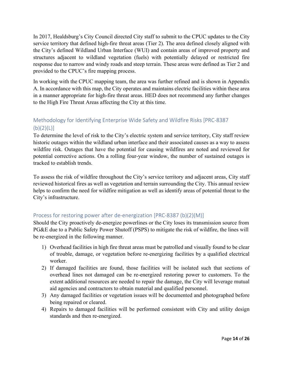In 2017, Healdsburg's City Council directed City staff to submit to the CPUC updates to the City service territory that defined high-fire threat areas (Tier 2). The area defined closely aligned with the City's defined Wildland Urban Interface (WUI) and contain areas of improved property and structures adjacent to wildland vegetation (fuels) with potentially delayed or restricted fire response due to narrow and windy roads and steep terrain. These areas were defined as Tier 2 and provided to the CPUC's fire mapping process.

In working with the CPUC mapping team, the area was further refined and is shown in Appendix A. In accordance with this map, the City operates and maintains electric facilities within these area in a manner appropriate for high-fire threat areas. HED does not recommend any further changes to the High Fire Threat Areas affecting the City at this time.

# <span id="page-13-0"></span>Methodology for Identifying Enterprise Wide Safety and Wildfire Risks [PRC-8387  $(b)(2)(L)$ ]

To determine the level of risk to the City's electric system and service territory, City staff review historic outages within the wildland urban interface and their associated causes as a way to assess wildfire risk. Outages that have the potential for causing wildfires are noted and reviewed for potential corrective actions. On a rolling four-year window, the number of sustained outages is tracked to establish trends.

To assess the risk of wildfire throughout the City's service territory and adjacent areas, City staff reviewed historical fires as well as vegetation and terrain surrounding the City. This annual review helps to confirm the need for wildfire mitigation as well as identify areas of potential threat to the City's infrastructure.

### <span id="page-13-1"></span>Process for restoring power after de-energization [PRC-8387 (b)(2)(M)]

Should the City proactively de-energize powerlines or the City loses its transmission source from PG&E due to a Public Safety Power Shutoff (PSPS) to mitigate the risk of wildfire, the lines will be re-energized in the following manner.

- 1) Overhead facilities in high fire threat areas must be patrolled and visually found to be clear of trouble, damage, or vegetation before re-energizing facilities by a qualified electrical worker.
- 2) If damaged facilities are found, those facilities will be isolated such that sections of overhead lines not damaged can be re-energized restoring power to customers. To the extent additional resources are needed to repair the damage, the City will leverage mutual aid agencies and contractors to obtain material and qualified personnel.
- 3) Any damaged facilities or vegetation issues will be documented and photographed before being repaired or cleared.
- 4) Repairs to damaged facilities will be performed consistent with City and utility design standards and then re-energized.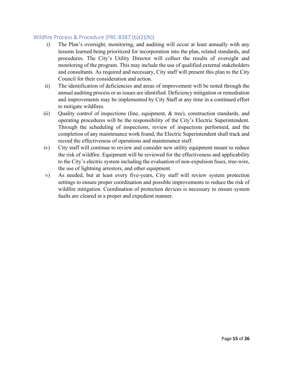### <span id="page-14-0"></span>Wildfire Process & Procedure [PRC-8387 (b)(2)(N)]

- i) The Plan's oversight, monitoring, and auditing will occur at least annually with any lessons learned being prioritized for incorporation into the plan, related standards, and procedures. The City's Utility Director will collect the results of oversight and monitoring of the program. This may include the use of qualified external stakeholders and consultants. As required and necessary, City staff will present this plan to the City Council for their consideration and action.
- ii) The identification of deficiencies and areas of improvement will be noted through the annual auditing process or as issues are identified. Deficiency mitigation or remediation and improvements may be implemented by City Staff at any time in a continued effort to mitigate wildfires.
- iii) Quality control of inspections (line, equipment, & tree), construction standards, and operating procedures will be the responsibility of the City's Electric Superintendent. Through the scheduling of inspections, review of inspections performed, and the completion of any maintenance work found, the Electric Superintendent shall track and record the effectiveness of operations and maintenance staff.
- iv) City staff will continue to review and consider new utility equipment meant to reduce the risk of wildfire. Equipment will be reviewed for the effectiveness and applicability to the City's electric system including the evaluation of non-expulsion fuses, tree-wire, the use of lightning arrestors, and other equipment.
- v) As needed, but at least every five-years, City staff will review system protection settings to ensure proper coordination and possible improvements to reduce the risk of wildfire mitigation. Coordination of protection devices is necessary to ensure system faults are cleared in a proper and expedient manner.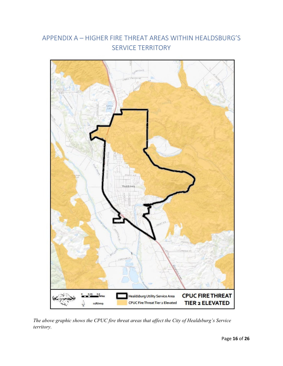# <span id="page-15-0"></span>APPENDIX A – HIGHER FIRE THREAT AREAS WITHIN HEALDSBURG'S SERVICE TERRITORY



*The above graphic shows the CPUC fire threat areas that affect the City of Healdsburg's Service territory.*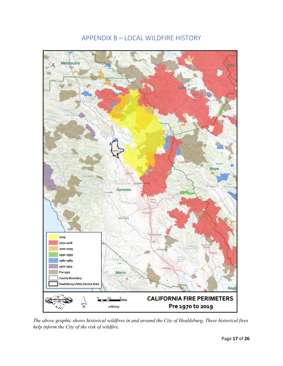<span id="page-16-0"></span>

## APPENDIX B – LOCAL WILDFIRE HISTORY

*The above graphic shows historical wildfires in and around the City of Healdsburg. These historical fires help inform the City of the risk of wildfire.*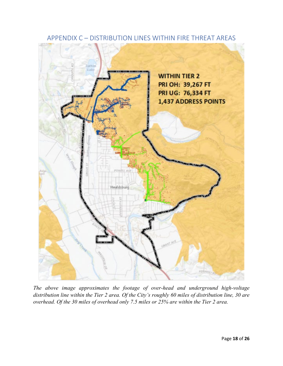<span id="page-17-0"></span>

# APPENDIX C – DISTRIBUTION LINES WITHIN FIRE THREAT AREAS

*The above image approximates the footage of over-head and underground high-voltage distribution line within the Tier 2 area. Of the City's roughly 60 miles of distribution line, 30 are overhead. Of the 30 miles of overhead only 7.5 miles or 25% are within the Tier 2 area.*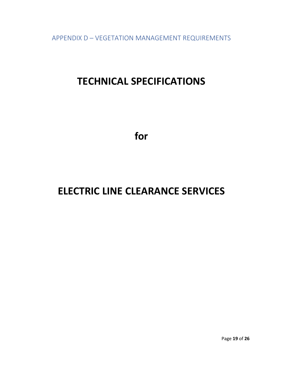<span id="page-18-0"></span>APPENDIX D – VEGETATION MANAGEMENT REQUIREMENTS

# **TECHNICAL SPECIFICATIONS**

**for**

# **ELECTRIC LINE CLEARANCE SERVICES**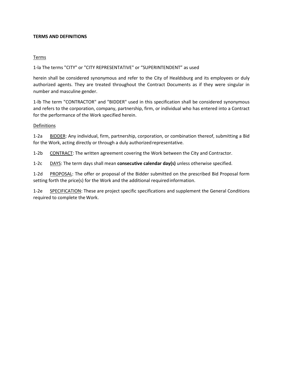### **TERMS AND DEFINITIONS**

### **Terms**

1-la The terms "CITY" or "CITY REPRESENTATIVE" or "SUPERINTENDENT" as used

herein shall be considered synonymous and refer to the City of Healdsburg and its employees or duly authorized agents. They are treated throughout the Contract Documents as if they were singular in number and masculine gender.

1-lb The term "CONTRACTOR" and "BIDDER" used in this specification shall be considered synonymous and refers to the corporation, company, partnership, firm, or individual who has entered into a Contract for the performance of the Work specified herein.

### Definitions

1-2a BIDDER: Any individual, firm, partnership, corporation, or combination thereof, submitting a Bid for the Work, acting directly or through a duly authorized representative.

1-2b CONTRACT: The written agreement covering the Work between the City and Contractor.

1-2c DAYS: The term days shall mean **consecutive calendar day(s)** unless otherwise specified.

1-2d PROPOSAL: The offer or proposal of the Bidder submitted on the prescribed Bid Proposal form setting forth the price(s) for the Work and the additional required information.

1-2e SPECIFICATION: These are project specific specifications and supplement the General Conditions required to complete the Work.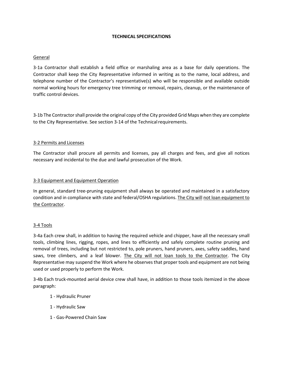### **TECHNICAL SPECIFICATIONS**

### **General**

3-1a Contractor shall establish a field office or marshaling area as a base for daily operations. The Contractor shall keep the City Representative informed in writing as to the name, local address, and telephone number of the Contractor's representative(s) who will be responsible and available outside normal working hours for emergency tree trimming or removal, repairs, cleanup, or the maintenance of traffic control devices.

3-1b The Contractor shall provide the original copy of the City provided Grid Maps when they are complete to the City Representative. See section 3-14 of the Technical requirements.

### 3-2 Permits and Licenses

The Contractor shall procure all permits and licenses, pay all charges and fees, and give all notices necessary and incidental to the due and lawful prosecution of the Work.

### 3-3 Equipment and Equipment Operation

In general, standard tree-pruning equipment shall always be operated and maintained in a satisfactory condition and in compliance with state and federal/OSHA regulations. The City will not loan equipment to the Contractor.

### 3-4 Tools

3-4a Each crew shall, in addition to having the required vehicle and chipper, have all the necessary small tools, climbing lines, rigging, ropes, and lines to efficiently and safely complete routine pruning and removal of trees, including but not restricted to, pole pruners, hand pruners, axes, safety saddles, hand saws, tree climbers, and a leaf blower. The City will not loan tools to the Contractor. The City Representative may suspend the Work where he observes that proper tools and equipment are not being used or used properly to perform the Work.

3-4b Each truck-mounted aerial device crew shall have, in addition to those tools itemized in the above paragraph:

- 1 Hydraulic Pruner
- 1 Hydraulic Saw
- 1 Gas-Powered Chain Saw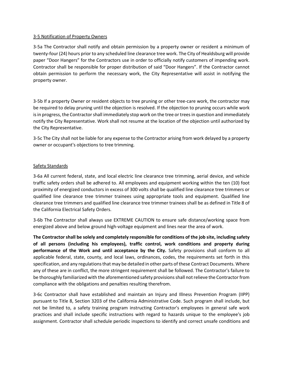### 3-5 Notification of Property Owners

3-5a The Contractor shall notify and obtain permission by a property owner or resident a minimum of twenty-four (24) hours prior to any scheduled line clearance tree work. The City of Healdsburg will provide paper "Door Hangers" for the Contractors use in order to officially notify customers of impending work. Contractor shall be responsible for proper distribution of said "Door Hangers". If the Contractor cannot obtain permission to perform the necessary work, the City Representative will assist in notifying the property owner.

3-5b If a property Owner or resident objects to tree pruning or other tree-care work, the contractor may be required to delay pruning until the objection is resolved. If the objection to pruning occurs while work is in progress, the Contractor shall immediately stop work on the tree or trees in question and immediately notify the City Representative. Work shall not resume at the location of the objection until authorized by the City Representative.

3-5c The City shall not be liable for any expense to the Contractor arising from work delayed by a property owner or occupant's objections to tree trimming.

#### Safety Standards

3-6a All current federal, state, and local electric line clearance tree trimming, aerial device, and vehicle traffic safety orders shall be adhered to. All employees and equipment working within the ten (10) foot proximity of energized conductors in excess of 300 volts shall be qualified line clearance tree trimmers or qualified line clearance tree trimmer trainees using appropriate tools and equipment. Qualified line clearance tree trimmers and qualified line clearance tree trimmer trainees shall be as defined in Title 8 of the California Electrical Safety Orders.

3-6b The Contractor shall always use EXTREME CAUTION to ensure safe distance/working space from energized above and below ground high-voltage equipment and lines near the area of work.

**The Contractor shall be solely and completely responsible for conditions of the job site, including safety of all persons (including his employees), traffic control, work conditions and property during performance of the Work and until acceptance by the City.** Safety provisions shall conform to all applicable federal, state, county, and local laws, ordinances, codes, the requirements set forth in this specification, and any regulations that may be detailed in other parts of these Contract Documents. Where any of these are in conflict, the more stringent requirement shall be followed. The Contractor's failure to be thoroughly familiarized with the aforementioned safety provisions shall not relieve the Contractor from compliance with the obligations and penalties resulting therefrom.

3-6c Contractor shall have established and maintain an Injury and Illness Prevention Program (IIPP) pursuant to Title 8, Section 3203 of the California Administrative Code. Such program shall include, but not be limited to, a safety training program instructing Contractor's employees in general safe work practices and shall include specific instructions with regard to hazards unique to the employee's job assignment. Contractor shall schedule periodic inspections to identify and correct unsafe conditions and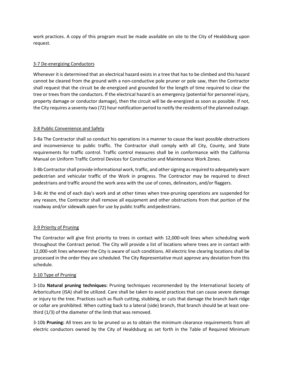work practices. A copy of this program must be made available on site to the City of Healdsburg upon request.

### 3-7 De-energizing Conductors

Whenever it is determined that an electrical hazard exists in a tree that has to be climbed and this hazard cannot be cleared from the ground with a non-conductive pole pruner or pole saw, then the Contractor shall request that the circuit be de-energized and grounded for the length of time required to clear the tree or trees from the conductors. If the electrical hazard is an emergency (potential for personnel injury, property damage or conductor damage), then the circuit will be de-energized as soon as possible. If not, the City requires a seventy-two (72) hour notification period to notify the residents of the planned outage.

### 3-8 Public Convenience and Safety

3-8a The Contractor shall so conduct his operations in a manner to cause the least possible obstructions and inconvenience to public traffic. The Contractor shall comply with all City, County, and State requirements for traffic control. Traffic control measures shall be in conformance with the California Manual on Uniform Traffic Control Devices for Construction and Maintenance Work Zones.

3-8b Contractor shall provide informational work, traffic, and other signing as required to adequately warn pedestrian and vehicular traffic of the Work in progress. The Contractor may be required to direct pedestrians and traffic around the work area with the use of cones, delineators, and/or flaggers.

3-8c At the end of each day's work and at other times when tree-pruning operations are suspended for any reason, the Contractor shall remove all equipment and other obstructions from that portion of the roadway and/or sidewalk open for use by public traffic and pedestrians.

### 3-9 Priority of Pruning

The Contractor will give first priority to trees in contact with 12,000-volt lines when scheduling work throughout the Contract period. The City will provide a list of locations where trees are in contact with 12,000-volt lines whenever the City is aware of such conditions. All electric line clearing locations shall be processed in the order they are scheduled. The City Representative must approve any deviation from this schedule.

### 3-10 Type of Pruning

3-10a **Natural pruning techniques:** Pruning techniques recommended by the International Society of Arboriculture (ISA) shall be utilized. Care shall be taken to avoid practices that can cause severe damage or injury to the tree. Practices such as flush cutting, stubbing, or cuts that damage the branch bark ridge or collar are prohibited. When cutting back to a lateral (side) branch, that branch should be at least onethird (1/3) of the diameter of the limb that was removed.

3-10b **Pruning:** All trees are to be pruned so as to obtain the minimum clearance requirements from all electric conductors owned by the City of Healdsburg as set forth in the Table of Required Minimum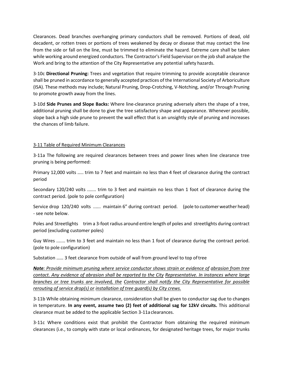Clearances. Dead branches overhanging primary conductors shall be removed. Portions of dead, old decadent, or rotten trees or portions of trees weakened by decay or disease that may contact the line from the side or fall on the line, must be trimmed to eliminate the hazard. Extreme care shall be taken while working around energized conductors. The Contractor's Field Supervisor on the job shall analyze the Work and bring to the attention of the City Representative any potential safety hazards.

3-10c **Directional Pruning:** Trees and vegetation that require trimming to provide acceptable clearance shall be pruned in accordance to generally accepted practices of the International Society of Arboriculture (ISA). These methods may include; Natural Pruning, Drop-Crotching, V-Notching, and/or Through Pruning to promote growth away from the lines.

3-10d **Side Prunes and Slope Backs:** Where line-clearance pruning adversely alters the shape of a tree, additional pruning shall be done to give the tree satisfactory shape and appearance. Whenever possible, slope back a high side prune to prevent the wall effect that is an unsightly style of pruning and increases the chances of limb failure.

### 3-11 Table of Required Minimum Clearances

3-11a The following are required clearances between trees and power lines when line clearance tree pruning is being performed:

Primary 12,000 volts ….. trim to 7 feet and maintain no less than 4 feet of clearance during the contract period

Secondary 120/240 volts ....... trim to 3 feet and maintain no less than 1 foot of clearance during the contract period. (pole to pole configuration)

Service drop 120/240 volts ...... maintain 6" during contract period. (pole to customer weather head) - see note below.

Poles and Streetlights trim a 3-foot radius around entire length of poles and streetlights during contract period (excluding customer poles)

Guy Wires ....... trim to 3 feet and maintain no less than 1 foot of clearance during the contract period. (pole to pole configuration)

Substation …… 3 feet clearance from outside of wall from ground level to top oftree

*Note: Provide minimum pruning where service conductor shows strain or evidence of abrasion from tree contact. Any evidence of abrasion shall be reported to the City Representative. In instances where large branches or tree trunks are involved, the Contractor shall notify the City Representative for possible rerouting of service drop(s) or installation of tree guard(s) by City crews.*

3-11b While obtaining minimum clearance, consideration shall be given to conductor sag due to changes in temperature. **In any event, assume two (2) feet of additional sag for 12kV circuits.** This additional clearance must be added to the applicable Section 3-11aclearances.

3-11c Where conditions exist that prohibit the Contractor from obtaining the required minimum clearances (i.e., to comply with state or local ordinances, for designated heritage trees, for major trunks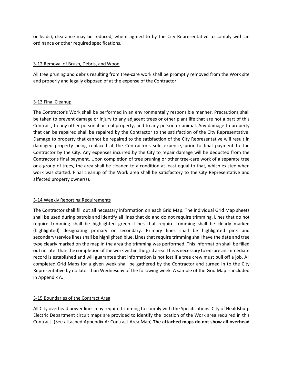or leads), clearance may be reduced, where agreed to by the City Representative to comply with an ordinance or other required specifications.

### 3-12 Removal of Brush, Debris, and Wood

All tree pruning and debris resulting from tree-care work shall be promptly removed from the Work site and properly and legally disposed of at the expense of the Contractor.

### 3-13 Final Cleanup

The Contractor's Work shall be performed in an environmentally responsible manner. Precautions shall be taken to prevent damage or injury to any adjacent trees or other plant life that are not a part of this Contract, to any other personal or real property, and to any person or animal. Any damage to property that can be repaired shall be repaired by the Contractor to the satisfaction of the City Representative. Damage to property that cannot be repaired to the satisfaction of the City Representative will result in damaged property being replaced at the Contractor's sole expense, prior to final payment to the Contractor by the City. Any expenses incurred by the City to repair damage will be deducted from the Contractor's final payment. Upon completion of tree pruning or other tree-care work of a separate tree or a group of trees, the area shall be cleaned to a condition at least equal to that, which existed when work was started. Final cleanup of the Work area shall be satisfactory to the City Representative and affected property owner(s).

### 3-14 Weekly Reporting Requirements

The Contractor shall fill out all necessary information on each Grid Map. The individual Grid Map sheets shall be used during patrols and identify all lines that do and do not require trimming. Lines that do not require trimming shall be highlighted green. Lines that require trimming shall be clearly marked (highlighted) designating primary or secondary. Primary lines shall be highlighted pink and secondary/service lines shall be highlighted blue. Lines that require trimming shall have the date and tree type clearly marked on the map in the area the trimming was performed. This information shall be filled out no later than the completion of the work within the grid area. This is necessary to ensure an immediate record is established and will guarantee that information is not lost if a tree crew must pull off a job. All completed Grid Maps for a given week shall be gathered by the Contractor and turned in to the City Representative by no later than Wednesday of the following week. A sample of the Grid Map is included in Appendix A.

### 3-15 Boundaries of the Contract Area

All City overhead power lines may require trimming to comply with the Specifications. City of Healdsburg Electric Department circuit maps are provided to identify the location of the Work area required in this Contract. (See attached Appendix A: Contract Area Map) **The attached maps do not show all overhead**